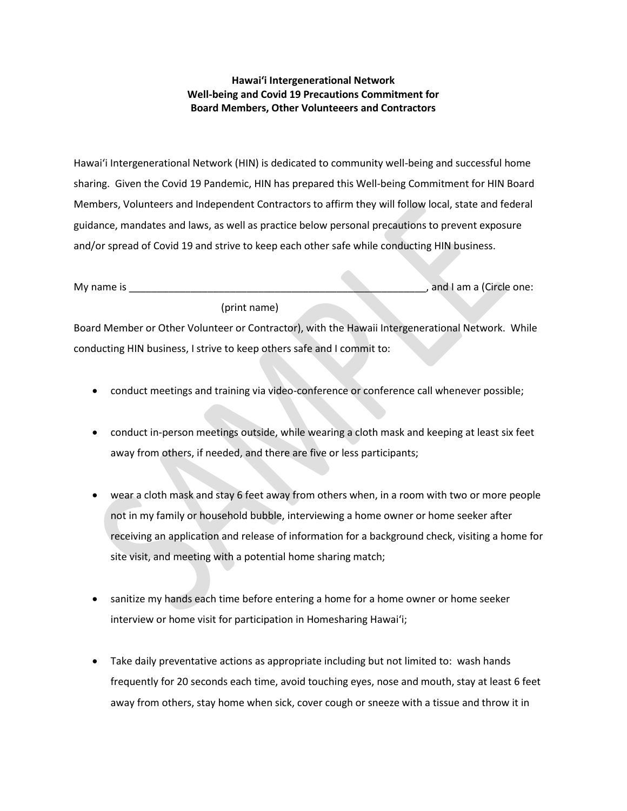## **Hawaiʻi Intergenerational Network Well-being and Covid 19 Precautions Commitment for Board Members, Other Volunteeers and Contractors**

Hawaiʻi Intergenerational Network (HIN) is dedicated to community well-being and successful home sharing. Given the Covid 19 Pandemic, HIN has prepared this Well-being Commitment for HIN Board Members, Volunteers and Independent Contractors to affirm they will follow local, state and federal guidance, mandates and laws, as well as practice below personal precautions to prevent exposure and/or spread of Covid 19 and strive to keep each other safe while conducting HIN business.

| My name is |              |  | and I am a (Circle one: |
|------------|--------------|--|-------------------------|
|            | (print name) |  |                         |

Board Member or Other Volunteer or Contractor), with the Hawaii Intergenerational Network. While conducting HIN business, I strive to keep others safe and I commit to:

- conduct meetings and training via video-conference or conference call whenever possible;
- conduct in-person meetings outside, while wearing a cloth mask and keeping at least six feet away from others, if needed, and there are five or less participants;
- wear a cloth mask and stay 6 feet away from others when, in a room with two or more people not in my family or household bubble, interviewing a home owner or home seeker after receiving an application and release of information for a background check, visiting a home for site visit, and meeting with a potential home sharing match;
- sanitize my hands each time before entering a home for a home owner or home seeker interview or home visit for participation in Homesharing Hawaiʻi;
- Take daily preventative actions as appropriate including but not limited to: wash hands frequently for 20 seconds each time, avoid touching eyes, nose and mouth, stay at least 6 feet away from others, stay home when sick, cover cough or sneeze with a tissue and throw it in